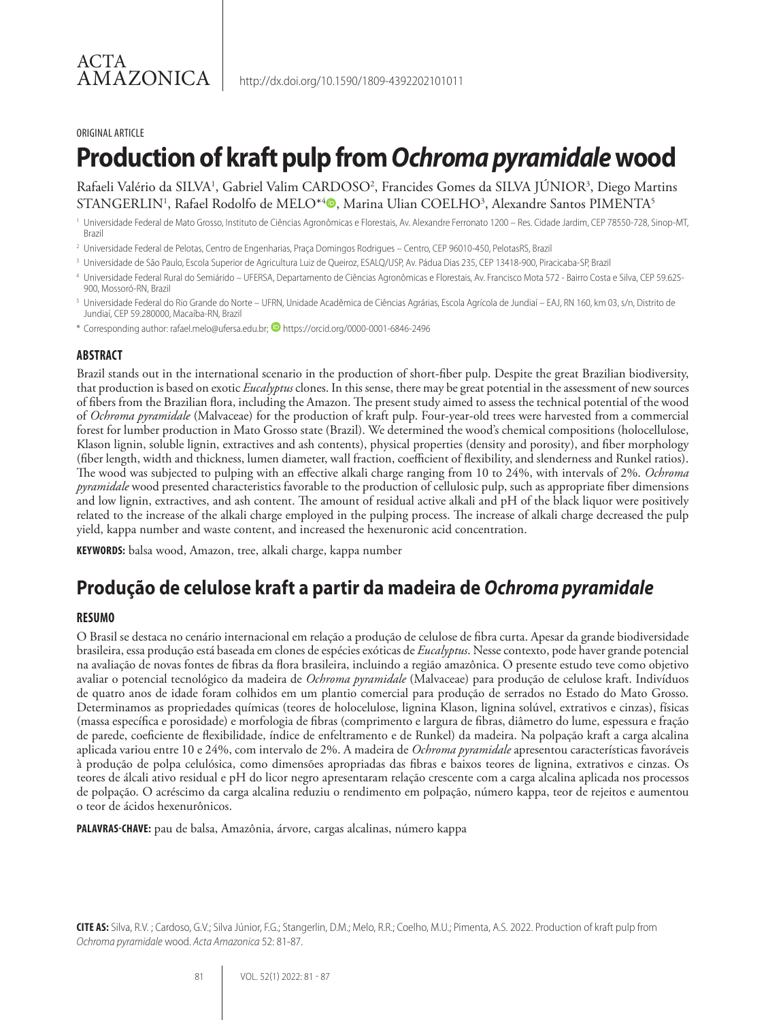#### ORIGINAL ARTICLE

# **Production of kraft pulp from** *Ochroma pyramidale* **wood**

Rafaeli Valério da SILVA<sup>1</sup>, Gabriel Valim CARDOSO<sup>2</sup>, Francides Gomes da SILVA JÚNIOR<sup>3</sup>, Diego Martins STANGERLIN<sup>1</sup>, Rafael Rodolfo de MELO\*<sup>4</sup>®, Marina Ulian COELHO<sup>3</sup>, Alexandre Santos PIMENTA<sup>5</sup>

- <sup>1</sup> Universidade Federal de Mato Grosso, Instituto de Ciências Agronômicas e Florestais, Av. Alexandre Ferronato 1200 Res. Cidade Jardim, CEP 78550-728, Sinop-MT, Brazil
- 2 Universidade Federal de Pelotas, Centro de Engenharias, Praça Domingos Rodrigues Centro, CEP 96010-450, PelotasRS, Brazil
- <sup>3</sup> Universidade de São Paulo, Escola Superior de Agricultura Luiz de Queiroz, ESALQ/USP, Av. Pádua Dias 235, CEP 13418-900, Piracicaba-SP, Brazil
- 4 Universidade Federal Rural do Semiárido UFERSA, Departamento de Ciências Agronômicas e Florestais, Av. Francisco Mota 572 Bairro Costa e Silva, CEP 59.625- 900, Mossoró-RN, Brazil
- 5 Universidade Federal do Rio Grande do Norte UFRN, Unidade Acadêmica de Ciências Agrárias, Escola Agrícola de Jundiaí EAJ, RN 160, km 03, s/n, Distrito de Jundiaí, CEP 59.280000, Macaíba-RN, Brazil
- \* Corresponding author: rafael.melo@ufersa.edu.br; **D** https://orcid.org/0000-0001-6846-2496

#### **ABSTRACT**

Brazil stands out in the international scenario in the production of short-fiber pulp. Despite the great Brazilian biodiversity, that production is based on exotic *Eucalyptus* clones. In this sense, there may be great potential in the assessment of new sources of fibers from the Brazilian flora, including the Amazon. The present study aimed to assess the technical potential of the wood of *Ochroma pyramidale* (Malvaceae) for the production of kraft pulp. Four-year-old trees were harvested from a commercial forest for lumber production in Mato Grosso state (Brazil). We determined the wood's chemical compositions (holocellulose, Klason lignin, soluble lignin, extractives and ash contents), physical properties (density and porosity), and fiber morphology (fiber length, width and thickness, lumen diameter, wall fraction, coefficient of flexibility, and slenderness and Runkel ratios). The wood was subjected to pulping with an effective alkali charge ranging from 10 to 24%, with intervals of 2%. *Ochroma pyramidale* wood presented characteristics favorable to the production of cellulosic pulp, such as appropriate fiber dimensions and low lignin, extractives, and ash content. The amount of residual active alkali and pH of the black liquor were positively related to the increase of the alkali charge employed in the pulping process. The increase of alkali charge decreased the pulp yield, kappa number and waste content, and increased the hexenuronic acid concentration.

**KEYWORDS:** balsa wood, Amazon, tree, alkali charge, kappa number

# **Produção de celulose kraft a partir da madeira de** *Ochroma pyramidale*

#### **RESUMO**

O Brasil se destaca no cenário internacional em relação a produção de celulose de fibra curta. Apesar da grande biodiversidade brasileira, essa produção está baseada em clones de espécies exóticas de *Eucalyptus*. Nesse contexto, pode haver grande potencial na avaliação de novas fontes de fibras da flora brasileira, incluindo a região amazônica. O presente estudo teve como objetivo avaliar o potencial tecnológico da madeira de *Ochroma pyramidale* (Malvaceae) para produção de celulose kraft. Indivíduos de quatro anos de idade foram colhidos em um plantio comercial para produção de serrados no Estado do Mato Grosso. Determinamos as propriedades químicas (teores de holocelulose, lignina Klason, lignina solúvel, extrativos e cinzas), físicas (massa específica e porosidade) e morfologia de fibras (comprimento e largura de fibras, diâmetro do lume, espessura e fração de parede, coeficiente de flexibilidade, índice de enfeltramento e de Runkel) da madeira. Na polpação kraft a carga alcalina aplicada variou entre 10 e 24%, com intervalo de 2%. A madeira de *Ochroma pyramidale* apresentou características favoráveis à produção de polpa celulósica, como dimensões apropriadas das fibras e baixos teores de lignina, extrativos e cinzas. Os teores de álcali ativo residual e pH do licor negro apresentaram relação crescente com a carga alcalina aplicada nos processos de polpação. O acréscimo da carga alcalina reduziu o rendimento em polpação, número kappa, teor de rejeitos e aumentou o teor de ácidos hexenurônicos.

**PALAVRAS-CHAVE:** pau de balsa, Amazônia, árvore, cargas alcalinas, número kappa

**CITE AS:** Silva, R.V. ; Cardoso, G.V.; Silva Júnior, F.G.; Stangerlin, D.M.; Melo, R.R.; Coelho, M.U.; Pimenta, A.S. 2022. Production of kraft pulp from *Ochroma pyramidale* wood. *Acta Amazonica* 52: 81-87.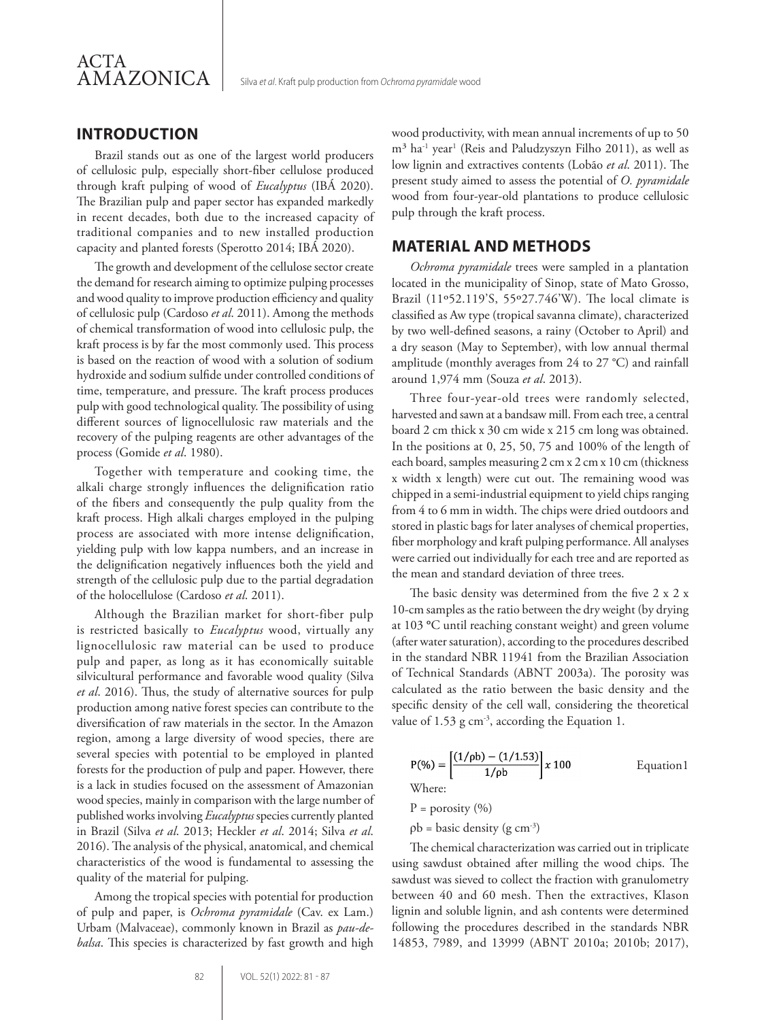## **INTRODUCTION**

Brazil stands out as one of the largest world producers of cellulosic pulp, especially short-fiber cellulose produced through kraft pulping of wood of *Eucalyptus* (IBÁ 2020). The Brazilian pulp and paper sector has expanded markedly in recent decades, both due to the increased capacity of traditional companies and to new installed production capacity and planted forests (Sperotto 2014; IBÁ 2020).

The growth and development of the cellulose sector create the demand for research aiming to optimize pulping processes and wood quality to improve production efficiency and quality of cellulosic pulp (Cardoso *et al*. 2011). Among the methods of chemical transformation of wood into cellulosic pulp, the kraft process is by far the most commonly used. This process is based on the reaction of wood with a solution of sodium hydroxide and sodium sulfide under controlled conditions of time, temperature, and pressure. The kraft process produces pulp with good technological quality. The possibility of using different sources of lignocellulosic raw materials and the recovery of the pulping reagents are other advantages of the process (Gomide *et al*. 1980).

Together with temperature and cooking time, the alkali charge strongly influences the delignification ratio of the fibers and consequently the pulp quality from the kraft process. High alkali charges employed in the pulping process are associated with more intense delignification, yielding pulp with low kappa numbers, and an increase in the delignification negatively influences both the yield and strength of the cellulosic pulp due to the partial degradation of the holocellulose (Cardoso *et al*. 2011).

Although the Brazilian market for short-fiber pulp is restricted basically to *Eucalyptus* wood, virtually any lignocellulosic raw material can be used to produce pulp and paper, as long as it has economically suitable silvicultural performance and favorable wood quality (Silva *et al*. 2016). Thus, the study of alternative sources for pulp production among native forest species can contribute to the diversification of raw materials in the sector. In the Amazon region, among a large diversity of wood species, there are several species with potential to be employed in planted forests for the production of pulp and paper. However, there is a lack in studies focused on the assessment of Amazonian wood species, mainly in comparison with the large number of published works involving *Eucalyptus* species currently planted in Brazil (Silva *et al*. 2013; Heckler *et al*. 2014; Silva *et al*. 2016). The analysis of the physical, anatomical, and chemical characteristics of the wood is fundamental to assessing the quality of the material for pulping.

Among the tropical species with potential for production of pulp and paper, is *Ochroma pyramidale* (Cav. ex Lam.) Urbam (Malvaceae), commonly known in Brazil as *pau-debalsa*. This species is characterized by fast growth and high wood productivity, with mean annual increments of up to 50 m<sup>3</sup> ha<sup>-1</sup> year<sup>1</sup> (Reis and Paludzyszyn Filho 2011), as well as low lignin and extractives contents (Lobão *et al*. 2011). The present study aimed to assess the potential of *O. pyramidale* wood from four-year-old plantations to produce cellulosic pulp through the kraft process.

#### **MATERIAL AND METHODS**

*Ochroma pyramidale* trees were sampled in a plantation located in the municipality of Sinop, state of Mato Grosso, Brazil (11º52.119'S, 55º27.746'W). The local climate is classified as Aw type (tropical savanna climate), characterized by two well-defined seasons, a rainy (October to April) and a dry season (May to September), with low annual thermal amplitude (monthly averages from 24 to 27 °C) and rainfall around 1,974 mm (Souza *et al*. 2013).

Three four-year-old trees were randomly selected, harvested and sawn at a bandsaw mill. From each tree, a central board 2 cm thick x 30 cm wide x 215 cm long was obtained. In the positions at 0, 25, 50, 75 and 100% of the length of each board, samples measuring 2 cm x 2 cm x 10 cm (thickness x width x length) were cut out. The remaining wood was chipped in a semi-industrial equipment to yield chips ranging from 4 to 6 mm in width. The chips were dried outdoors and stored in plastic bags for later analyses of chemical properties, fiber morphology and kraft pulping performance. All analyses were carried out individually for each tree and are reported as the mean and standard deviation of three trees.

The basic density was determined from the five 2 x 2 x 10-cm samples as the ratio between the dry weight (by drying at 103 **°**C until reaching constant weight) and green volume (after water saturation), according to the procedures described in the standard NBR 11941 from the Brazilian Association of Technical Standards (ABNT 2003a). The porosity was calculated as the ratio between the basic density and the specific density of the cell wall, considering the theoretical value of 1.53 g cm<sup>-3</sup>, according the Equation 1.

$$
P(\%) = \left[\frac{(1/\rho b) - (1/1.53)}{1/\rho b}\right] x 100
$$
 Equation1  
Where:

 $P = \text{porosity } (%)$ 

 $pb = basic density (g cm<sup>-3</sup>)$ 

The chemical characterization was carried out in triplicate using sawdust obtained after milling the wood chips. The sawdust was sieved to collect the fraction with granulometry between 40 and 60 mesh. Then the extractives, Klason lignin and soluble lignin, and ash contents were determined following the procedures described in the standards NBR 14853, 7989, and 13999 (ABNT 2010a; 2010b; 2017),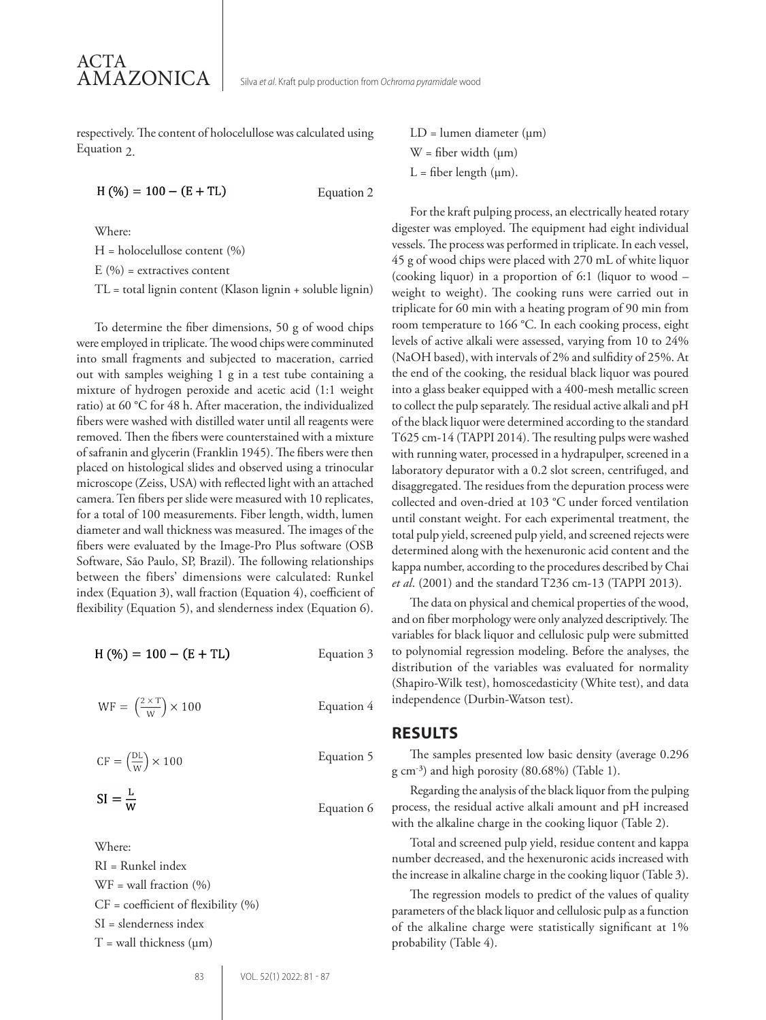respectively. The content of holocelullose was calculated using Equation  $2$ .

$$
H(\%) = 100 - (E + TL)
$$
 Equation 2

Where:

 $H =$  holocelullose content  $(\%)$  $E(%)$  = extractives content TL = total lignin content (Klason lignin + soluble lignin)

To determine the fiber dimensions, 50 g of wood chips were employed in triplicate. The wood chips were comminuted into small fragments and subjected to maceration, carried out with samples weighing 1 g in a test tube containing a mixture of hydrogen peroxide and acetic acid (1:1 weight ratio) at 60 °C for 48 h. After maceration, the individualized fibers were washed with distilled water until all reagents were removed. Then the fibers were counterstained with a mixture of safranin and glycerin (Franklin 1945). The fibers were then placed on histological slides and observed using a trinocular microscope (Zeiss, USA) with reflected light with an attached camera. Ten fibers per slide were measured with 10 replicates, for a total of 100 measurements. Fiber length, width, lumen diameter and wall thickness was measured. The images of the fibers were evaluated by the Image-Pro Plus software (OSB Software, São Paulo, SP, Brazil). The following relationships between the fibers' dimensions were calculated: Runkel index (Equation 3), wall fraction (Equation 4), coefficient of flexibility (Equation 5), and slenderness index (Equation 6).

$$
H(\%) = 100 - (E + TL)
$$
 Equation 3

$$
WF = \left(\frac{2 \times T}{W}\right) \times 100
$$
 Equation 4

$$
CF = \left(\frac{DL}{W}\right) \times 100
$$
 Equation 5

$$
SI = \frac{L}{W}
$$

Where:

RI = Runkel index  $WF =$  wall fraction  $(%$  $CF = coefficient of flexibility (%)$ SI = slenderness index  $T =$  wall thickness ( $\mu$ m)

 $LD =$  lumen diameter ( $\mu$ m)  $W =$  fiber width  $(\mu m)$  $L =$  fiber length ( $\mu$ m).

For the kraft pulping process, an electrically heated rotary digester was employed. The equipment had eight individual vessels. The process was performed in triplicate. In each vessel, 45 g of wood chips were placed with 270 mL of white liquor (cooking liquor) in a proportion of 6:1 (liquor to wood – weight to weight). The cooking runs were carried out in triplicate for 60 min with a heating program of 90 min from room temperature to 166 °C. In each cooking process, eight levels of active alkali were assessed, varying from 10 to 24% (NaOH based), with intervals of 2% and sulfidity of 25%. At the end of the cooking, the residual black liquor was poured into a glass beaker equipped with a 400-mesh metallic screen to collect the pulp separately. The residual active alkali and pH of the black liquor were determined according to the standard T625 cm-14 (TAPPI 2014). The resulting pulps were washed with running water, processed in a hydrapulper, screened in a laboratory depurator with a 0.2 slot screen, centrifuged, and disaggregated. The residues from the depuration process were collected and oven-dried at 103 °C under forced ventilation until constant weight. For each experimental treatment, the total pulp yield, screened pulp yield, and screened rejects were determined along with the hexenuronic acid content and the kappa number, according to the procedures described by Chai *et al*. (2001) and the standard T236 cm-13 (TAPPI 2013).

The data on physical and chemical properties of the wood, and on fiber morphology were only analyzed descriptively. The variables for black liquor and cellulosic pulp were submitted to polynomial regression modeling. Before the analyses, the distribution of the variables was evaluated for normality (Shapiro-Wilk test), homoscedasticity (White test), and data independence (Durbin-Watson test).

#### **RESULTS**

The samples presented low basic density (average 0.296 g cm- ³) and high porosity (80.68%) (Table 1).

Regarding the analysis of the black liquor from the pulping process, the residual active alkali amount and pH increased with the alkaline charge in the cooking liquor (Table 2).

Total and screened pulp yield, residue content and kappa number decreased, and the hexenuronic acids increased with the increase in alkaline charge in the cooking liquor (Table 3).

The regression models to predict of the values of quality parameters of the black liquor and cellulosic pulp as a function of the alkaline charge were statistically significant at 1% probability (Table 4).

Equation 6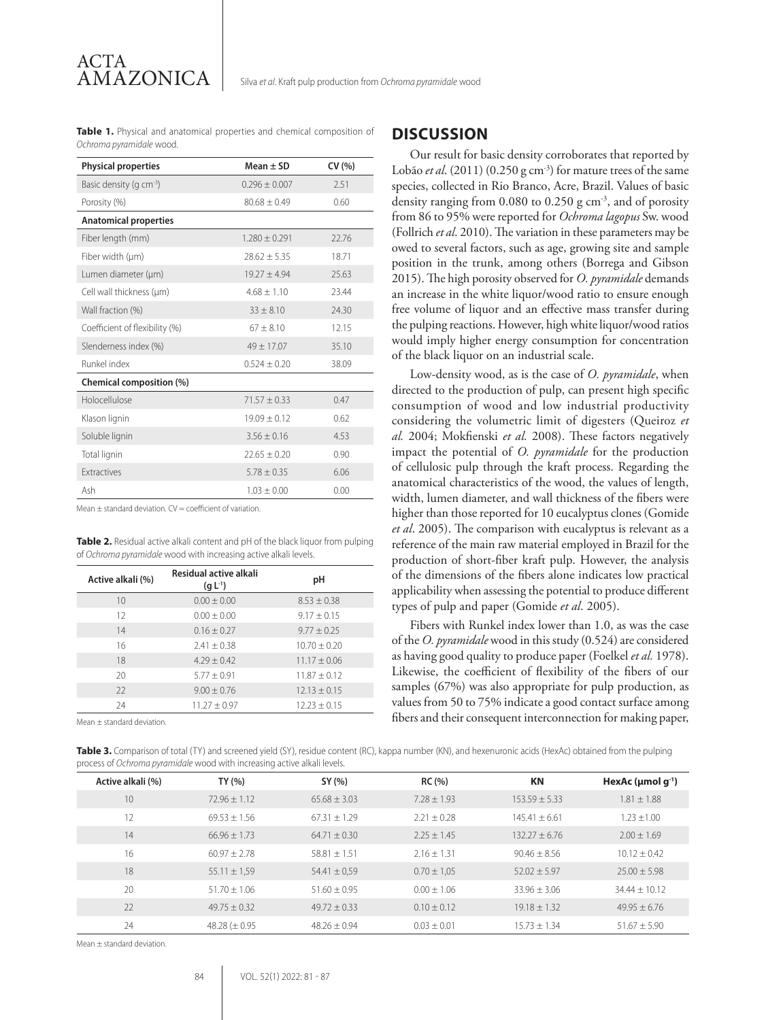**Table 1.** Physical and anatomical properties and chemical composition of *Ochroma pyramidale* wood.

ACTA

AMAZONICA

| <b>Physical properties</b>          | Mean $\pm$ SD     | CV(% ) |
|-------------------------------------|-------------------|--------|
| Basic density (g cm <sup>-3</sup> ) | $0.296 \pm 0.007$ | 2.51   |
| Porosity (%)                        | $80.68 + 0.49$    | 0.60   |
| <b>Anatomical properties</b>        |                   |        |
| Fiber length (mm)                   | $1.280 + 0.291$   | 22.76  |
| Fiber width (µm)                    | $78.62 + 5.35$    | 18.71  |
| Lumen diameter (um)                 | $19.27 \pm 4.94$  | 25.63  |
| Cell wall thickness (um)            | $4.68 + 1.10$     | 23.44  |
| Wall fraction (%)                   | $33 \pm 8.10$     | 24.30  |
| Coefficient of flexibility (%)      | $67 \pm 8.10$     | 12.15  |
| Slenderness index (%)               | $49 \pm 17.07$    | 35.10  |
| Runkel index                        | $0.524 \pm 0.20$  | 38.09  |
| Chemical composition (%)            |                   |        |
| Holocellulose                       | $71.57 \pm 0.33$  | 0.47   |
| Klason lignin                       | $19.09 + 0.12$    | 0.62   |
| Soluble lignin                      | $3.56 \pm 0.16$   | 4.53   |
| Total lignin                        | $22.65 \pm 0.20$  | 0.90   |
| Extractives                         | $5.78 \pm 0.35$   | 6.06   |
| Ash                                 | $1.03 \pm 0.00$   | 0.00   |

Mean  $+$  standard deviation.  $CV = \text{coefficient}$  of variation.

**Table 2.** Residual active alkali content and pH of the black liquor from pulping of *Ochroma pyramidale* wood with increasing active alkali levels.

| Active alkali (%) | Residual active alkali<br>(q L <sup>1</sup> ) | рH               |
|-------------------|-----------------------------------------------|------------------|
| 10                | $0.00 + 0.00$                                 | $8.53 \pm 0.38$  |
| 12                | $0.00 + 0.00$                                 | $9.17 + 0.15$    |
| 14                | $0.16 + 0.27$                                 | $9.77 + 0.25$    |
| 16                | $2.41 \pm 0.38$                               | $10.70 + 0.20$   |
| 18                | $4.29 + 0.42$                                 | $11.17 + 0.06$   |
| 20                | $5.77 + 0.91$                                 | $11.87 + 0.12$   |
| 22                | $9.00 + 0.76$                                 | $12.13 \pm 0.15$ |
| 24                | $11.27 + 0.97$                                | $12.23 + 0.15$   |
|                   |                                               |                  |

Mean ± standard deviation.

#### **DISCUSSION**

Our result for basic density corroborates that reported by Lobão *et al.* (2011) (0.250 g cm<sup>-3</sup>) for mature trees of the same species, collected in Rio Branco, Acre, Brazil. Values of basic density ranging from 0.080 to 0.250 g cm<sup>-3</sup>, and of porosity from 86 to 95% were reported for *Ochroma lagopus* Sw. wood (Follrich *et al*. 2010). The variation in these parameters may be owed to several factors, such as age, growing site and sample position in the trunk, among others (Borrega and Gibson 2015). The high porosity observed for *O. pyramidale* demands an increase in the white liquor/wood ratio to ensure enough free volume of liquor and an effective mass transfer during the pulping reactions. However, high white liquor/wood ratios would imply higher energy consumption for concentration of the black liquor on an industrial scale.

Low-density wood, as is the case of *O. pyramidale*, when directed to the production of pulp, can present high specific consumption of wood and low industrial productivity considering the volumetric limit of digesters (Queiroz *et al.* 2004; Mokfienski *et al.* 2008). These factors negatively impact the potential of *O. pyramidale* for the production of cellulosic pulp through the kraft process. Regarding the anatomical characteristics of the wood, the values of length, width, lumen diameter, and wall thickness of the fibers were higher than those reported for 10 eucalyptus clones (Gomide *et al*. 2005). The comparison with eucalyptus is relevant as a reference of the main raw material employed in Brazil for the production of short-fiber kraft pulp. However, the analysis of the dimensions of the fibers alone indicates low practical applicability when assessing the potential to produce different types of pulp and paper (Gomide *et al*. 2005).

Fibers with Runkel index lower than 1.0, as was the case of the *O. pyramidale* wood in this study (0.524) are considered as having good quality to produce paper (Foelkel *et al.* 1978). Likewise, the coefficient of flexibility of the fibers of our samples (67%) was also appropriate for pulp production, as values from 50 to 75% indicate a good contact surface among fibers and their consequent interconnection for making paper,

**Table 3.** Comparison of total (TY) and screened yield (SY), residue content (RC), kappa number (KN), and hexenuronic acids (HexAc) obtained from the pulping process of *Ochroma pyramidale* wood with increasing active alkali levels.

| Active alkali (%) | TY (%)             | SY (%)           | RC(%)           | ΚN                | HexAc ( $\mu$ mol g <sup>-1</sup> ) |
|-------------------|--------------------|------------------|-----------------|-------------------|-------------------------------------|
| 10                | $72.96 + 1.12$     | $65.68 + 3.03$   | $7.28 + 1.93$   | $153.59 + 5.33$   | $1.81 + 1.88$                       |
| 12                | $69.53 + 1.56$     | $67.31 + 1.29$   | $2.21 + 0.28$   | $145.41 + 6.61$   | $1.23 + 1.00$                       |
| 14                | $66.96 + 1.73$     | $64.71 + 0.30$   | $2.25 \pm 1.45$ | $132.27 \pm 6.76$ | $2.00 + 1.69$                       |
| 16                | $60.97 + 2.78$     | $58.81 + 1.51$   | $2.16 + 1.31$   | $90.46 + 8.56$    | $10.12 + 0.42$                      |
| 18                | $55.11 \pm 1.59$   | $54.41 \pm 0.59$ | $0.70 \pm 1.05$ | $52.02 \pm 5.97$  | $25.00 + 5.98$                      |
| 20                | $51.70 + 1.06$     | $51.60 \pm 0.95$ | $0.00 + 1.06$   | $33.96 + 3.06$    | $34.44 + 10.12$                     |
| 22                | $49.75 + 0.32$     | $49.72 + 0.33$   | $0.10 \pm 0.12$ | $19.18 + 1.32$    | $49.95 + 6.76$                      |
| 24                | 48.28 ( $\pm$ 0.95 | $48.26 \pm 0.94$ | $0.03 \pm 0.01$ | $15.73 + 1.34$    | $51.67 \pm 5.90$                    |

Mean ± standard deviation.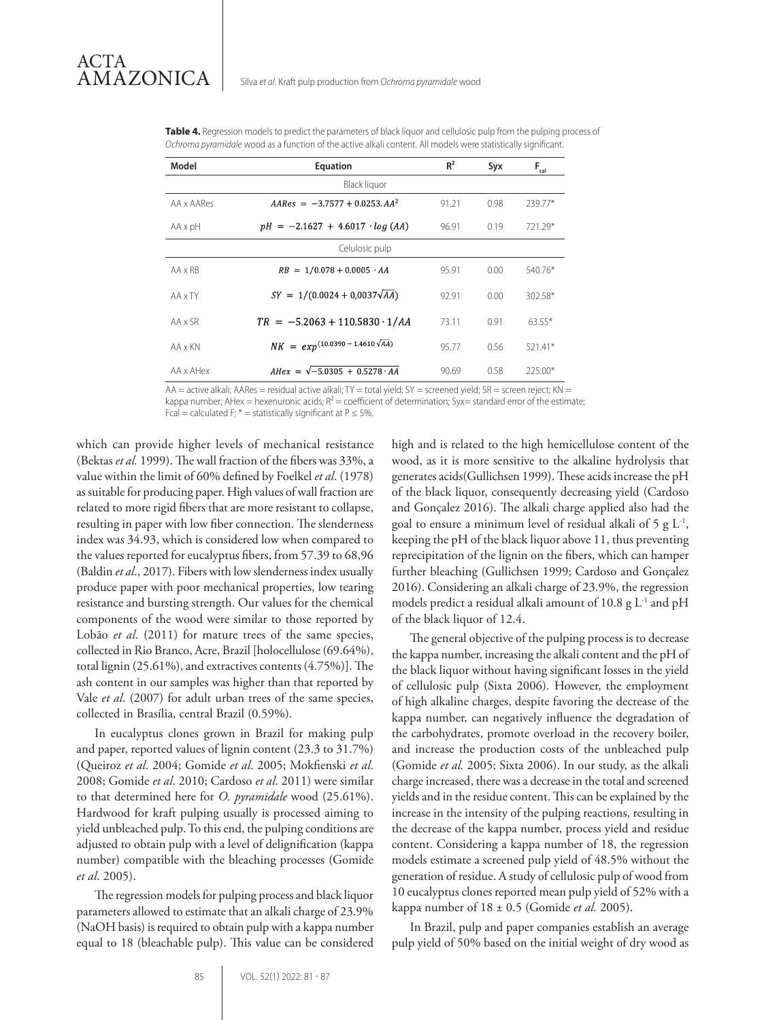| Model          | Equation                                  | $R^2$ | Syx  | $F_{gal}$ |  |  |  |
|----------------|-------------------------------------------|-------|------|-----------|--|--|--|
| Black liquor   |                                           |       |      |           |  |  |  |
| AA x AARes     | $AAREs = -3.7577 + 0.0253$ . $AA^2$       | 91.21 | 0.98 | 239.77*   |  |  |  |
| AA x pH        | $pH = -2.1627 + 4.6017 \cdot log (AA)$    | 96.91 | 0.19 | 721.29*   |  |  |  |
| Celulosic pulp |                                           |       |      |           |  |  |  |
| $AA \times RB$ | $RB = 1/0.078 + 0.0005 \cdot AA$          | 95.91 | 0.00 | 540.76*   |  |  |  |
| AA x TY        | $SY = 1/(0.0024 + 0.0037\sqrt{AA})$       | 92.91 | 0.00 | 302.58*   |  |  |  |
| AA x SR        | $TR = -5.2063 + 110.5830 \cdot 1/AA$      | 73.11 | 0.91 | $63.55*$  |  |  |  |
| AA x KN        | $NK = exp^{(10.0390 - 1.4610\sqrt{AA})}$  | 95.77 | 0.56 | $521.41*$ |  |  |  |
| AA x AHex      | $AHex = \sqrt{-5.0305 + 0.5278 \cdot AA}$ | 90.69 | 0.58 | 225.00*   |  |  |  |

**Table 4.** Regression models to predict the parameters of black liquor and cellulosic pulp from the pulping process of *Ochroma pyramidale* wood as a function of the active alkali content. All models were statistically significant.

 $AA$  = active alkali; AARes = residual active alkali; TY = total yield; SY = screened yield; SR = screen reject; KN =

kappa number; AHex = hexenuronic acids;  $R^2$  = coefficient of determination; Syx= standard error of the estimate;

Fcal = calculated F;  $*$  = statistically significant at P  $\leq$  5%.

which can provide higher levels of mechanical resistance (Bektas *et al.* 1999). The wall fraction of the fibers was 33%, a value within the limit of 60% defined by Foelkel *et al*. (1978) as suitable for producing paper. High values of wall fraction are related to more rigid fibers that are more resistant to collapse, resulting in paper with low fiber connection. The slenderness index was 34.93, which is considered low when compared to the values reported for eucalyptus fibers, from 57.39 to 68,96 (Baldin *et al*., 2017). Fibers with low slenderness index usually produce paper with poor mechanical properties, low tearing resistance and bursting strength. Our values for the chemical components of the wood were similar to those reported by Lobão *et al*. (2011) for mature trees of the same species, collected in Rio Branco, Acre, Brazil [holocellulose (69.64%), total lignin (25.61%), and extractives contents (4.75%)]. The ash content in our samples was higher than that reported by Vale *et al*. (2007) for adult urban trees of the same species, collected in Brasília, central Brazil (0.59%).

In eucalyptus clones grown in Brazil for making pulp and paper, reported values of lignin content (23.3 to 31.7%) (Queiroz *et al*. 2004; Gomide *et al*. 2005; Mokfienski *et al*. 2008; Gomide *et al*. 2010; Cardoso *et al*. 2011) were similar to that determined here for *O. pyramidale* wood (25.61%). Hardwood for kraft pulping usually is processed aiming to yield unbleached pulp. To this end, the pulping conditions are adjusted to obtain pulp with a level of delignification (kappa number) compatible with the bleaching processes (Gomide *et al*. 2005).

The regression models for pulping process and black liquor parameters allowed to estimate that an alkali charge of 23.9% (NaOH basis) is required to obtain pulp with a kappa number equal to 18 (bleachable pulp). This value can be considered high and is related to the high hemicellulose content of the wood, as it is more sensitive to the alkaline hydrolysis that generates acids(Gullichsen 1999). These acids increase the pH of the black liquor, consequently decreasing yield (Cardoso and Gonçalez 2016). The alkali charge applied also had the goal to ensure a minimum level of residual alkali of 5 g  $L^{-1}$ , keeping the pH of the black liquor above 11, thus preventing reprecipitation of the lignin on the fibers, which can hamper further bleaching (Gullichsen 1999; Cardoso and Gonçalez 2016). Considering an alkali charge of 23.9%, the regression models predict a residual alkali amount of 10.8  $g L<sup>-1</sup>$  and pH of the black liquor of 12.4.

The general objective of the pulping process is to decrease the kappa number, increasing the alkali content and the pH of the black liquor without having significant losses in the yield of cellulosic pulp (Sixta 2006). However, the employment of high alkaline charges, despite favoring the decrease of the kappa number, can negatively influence the degradation of the carbohydrates, promote overload in the recovery boiler, and increase the production costs of the unbleached pulp (Gomide *et al.* 2005; Sixta 2006). In our study, as the alkali charge increased, there was a decrease in the total and screened yields and in the residue content. This can be explained by the increase in the intensity of the pulping reactions, resulting in the decrease of the kappa number, process yield and residue content. Considering a kappa number of 18, the regression models estimate a screened pulp yield of 48.5% without the generation of residue. A study of cellulosic pulp of wood from 10 eucalyptus clones reported mean pulp yield of 52% with a kappa number of 18 ± 0.5 (Gomide *et al.* 2005).

In Brazil, pulp and paper companies establish an average pulp yield of 50% based on the initial weight of dry wood as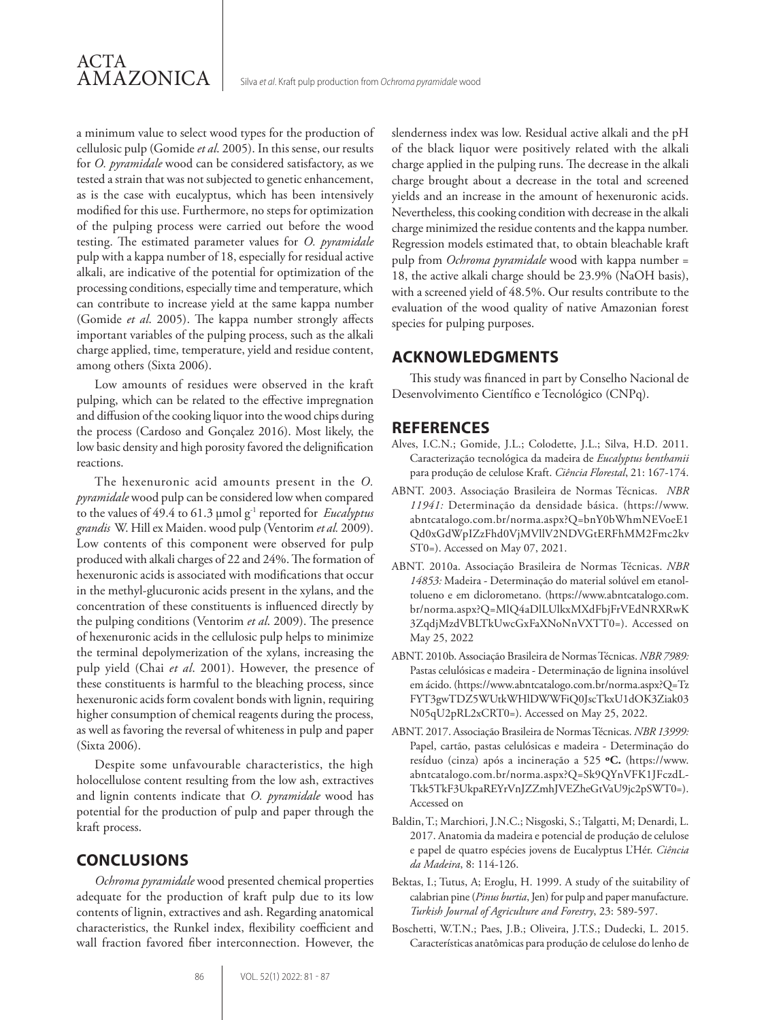a minimum value to select wood types for the production of cellulosic pulp (Gomide *et al*. 2005). In this sense, our results for *O. pyramidale* wood can be considered satisfactory, as we tested a strain that was not subjected to genetic enhancement, as is the case with eucalyptus, which has been intensively modified for this use. Furthermore, no steps for optimization of the pulping process were carried out before the wood testing. The estimated parameter values for *O. pyramidale* pulp with a kappa number of 18, especially for residual active alkali, are indicative of the potential for optimization of the processing conditions, especially time and temperature, which can contribute to increase yield at the same kappa number (Gomide *et al*. 2005). The kappa number strongly affects important variables of the pulping process, such as the alkali charge applied, time, temperature, yield and residue content, among others (Sixta 2006).

Low amounts of residues were observed in the kraft pulping, which can be related to the effective impregnation and diffusion of the cooking liquor into the wood chips during the process (Cardoso and Gonçalez 2016). Most likely, the low basic density and high porosity favored the delignification reactions.

The hexenuronic acid amounts present in the *O. pyramidale* wood pulp can be considered low when compared to the values of 49.4 to 61.3 µmol g-1 reported for *Eucalyptus grandis* W. Hill ex Maiden. wood pulp (Ventorim *et al.* 2009). Low contents of this component were observed for pulp produced with alkali charges of 22 and 24%. The formation of hexenuronic acids is associated with modifications that occur in the methyl-glucuronic acids present in the xylans, and the concentration of these constituents is influenced directly by the pulping conditions (Ventorim *et al*. 2009). The presence of hexenuronic acids in the cellulosic pulp helps to minimize the terminal depolymerization of the xylans, increasing the pulp yield (Chai *et al*. 2001). However, the presence of these constituents is harmful to the bleaching process, since hexenuronic acids form covalent bonds with lignin, requiring higher consumption of chemical reagents during the process, as well as favoring the reversal of whiteness in pulp and paper (Sixta 2006).

Despite some unfavourable characteristics, the high holocellulose content resulting from the low ash, extractives and lignin contents indicate that *O. pyramidale* wood has potential for the production of pulp and paper through the kraft process.

# **CONCLUSIONS**

*Ochroma pyramidale* wood presented chemical properties adequate for the production of kraft pulp due to its low contents of lignin, extractives and ash. Regarding anatomical characteristics, the Runkel index, flexibility coefficient and wall fraction favored fiber interconnection. However, the

slenderness index was low. Residual active alkali and the pH of the black liquor were positively related with the alkali charge applied in the pulping runs. The decrease in the alkali charge brought about a decrease in the total and screened yields and an increase in the amount of hexenuronic acids. Nevertheless, this cooking condition with decrease in the alkali charge minimized the residue contents and the kappa number. Regression models estimated that, to obtain bleachable kraft pulp from *Ochroma pyramidale* wood with kappa number = 18, the active alkali charge should be 23.9% (NaOH basis), with a screened yield of 48.5%. Our results contribute to the evaluation of the wood quality of native Amazonian forest species for pulping purposes.

# **ACKNOWLEDGMENTS**

This study was financed in part by Conselho Nacional de Desenvolvimento Científico e Tecnológico (CNPq).

## **REFERENCES**

- Alves, I.C.N.; Gomide, J.L.; Colodette, J.L.; Silva, H.D. 2011. Caracterização tecnológica da madeira de *Eucalyptus benthamii* para produção de celulose Kraft. *Ciência Florestal*, 21: 167-174.
- ABNT. 2003. Associação Brasileira de Normas Técnicas. *NBR 11941:* Determinação da densidade básica. (https://www. abntcatalogo.com.br/norma.aspx?Q=bnY0bWhmNEVoeE1 Qd0xGdWpIZzFhd0VjMVllV2NDVGtERFhMM2Fmc2kv ST0=). Accessed on May 07, 2021.
- ABNT. 2010a. Associação Brasileira de Normas Técnicas. *NBR 14853:* Madeira - Determinação do material solúvel em etanoltolueno e em diclorometano. (https://www.abntcatalogo.com. br/norma.aspx?Q=MlQ4aDlLUlkxMXdFbjFrVEdNRXRwK 3ZqdjMzdVBLTkUwcGxFaXNoNnVXTT0=). Accessed on May 25, 2022
- ABNT. 2010b. Associação Brasileira de Normas Técnicas. *NBR 7989:*  Pastas celulósicas e madeira - Determinação de lignina insolúvel em ácido. (https://www.abntcatalogo.com.br/norma.aspx?Q=Tz FYT3gwTDZ5WUtkWHlDWWFiQ0JscTkxU1dOK3Ziak03 N05qU2pRL2xCRT0=). Accessed on May 25, 2022.
- ABNT. 2017. Associação Brasileira de Normas Técnicas. *NBR 13999:* Papel, cartão, pastas celulósicas e madeira - Determinação do resíduo (cinza) após a incineração a 525 **ºC.** (https://www. abntcatalogo.com.br/norma.aspx?Q=Sk9QYnVFK1JFczdL-Tkk5TkF3UkpaREYrVnJZZmhJVEZheGtVaU9jc2pSWT0=). Accessed on
- Baldin, T.; Marchiori, J.N.C.; Nisgoski, S.; Talgatti, M; Denardi, L. 2017. Anatomia da madeira e potencial de produção de celulose e papel de quatro espécies jovens de Eucalyptus L'Hér. *Ciência da Madeira*, 8: 114-126.
- Bektas, I.; Tutus, A; Eroglu, H. 1999. A study of the suitability of calabrian pine (*Pinus burtia*, Jen) for pulp and paper manufacture. *Turkish Journal of Agriculture and Forestry*, 23: 589-597.
- Boschetti, W.T.N.; Paes, J.B.; Oliveira, J.T.S.; Dudecki, L. 2015. Características anatômicas para produção de celulose do lenho de